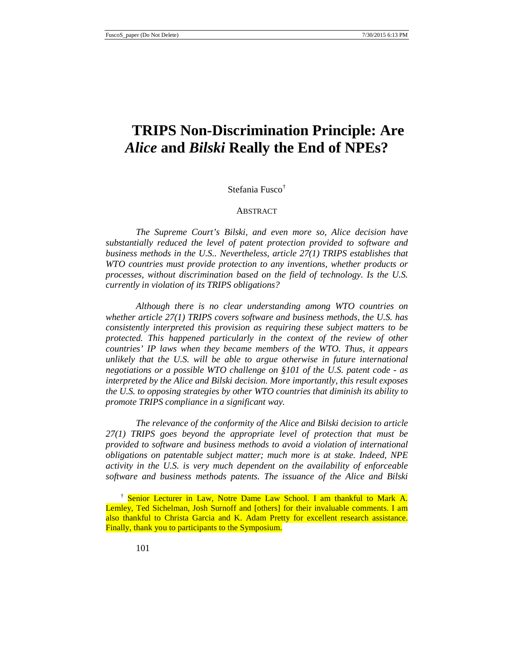# **TRIPS Non-Discrimination Principle: Are** *Alice* **and** *Bilski* **Really the End of NPEs?**

## Stefania Fusco[†](#page-0-0)

#### ABSTRACT

*The Supreme Court's Bilski, and even more so, Alice decision have substantially reduced the level of patent protection provided to software and business methods in the U.S.. Nevertheless, article 27(1) TRIPS establishes that WTO countries must provide protection to any inventions, whether products or processes, without discrimination based on the field of technology. Is the U.S. currently in violation of its TRIPS obligations?* 

*Although there is no clear understanding among WTO countries on whether article 27(1) TRIPS covers software and business methods, the U.S. has consistently interpreted this provision as requiring these subject matters to be protected. This happened particularly in the context of the review of other countries' IP laws when they became members of the WTO. Thus, it appears unlikely that the U.S. will be able to argue otherwise in future international negotiations or a possible WTO challenge on §101 of the U.S. patent code - as interpreted by the Alice and Bilski decision. More importantly, this result exposes the U.S. to opposing strategies by other WTO countries that diminish its ability to promote TRIPS compliance in a significant way.* 

*The relevance of the conformity of the Alice and Bilski decision to article 27(1) TRIPS goes beyond the appropriate level of protection that must be provided to software and business methods to avoid a violation of international obligations on patentable subject matter; much more is at stake. Indeed, NPE activity in the U.S. is very much dependent on the availability of enforceable software and business methods patents. The issuance of the Alice and Bilski* 

<span id="page-0-0"></span><sup>&</sup>lt;sup>†</sup> Senior Lecturer in Law, Notre Dame Law School. I am thankful to Mark A. Lemley, Ted Sichelman, Josh Surnoff and [others] for their invaluable comments. I am also thankful to Christa Garcia and K. Adam Pretty for excellent research assistance. Finally, thank you to participants to the Symposium.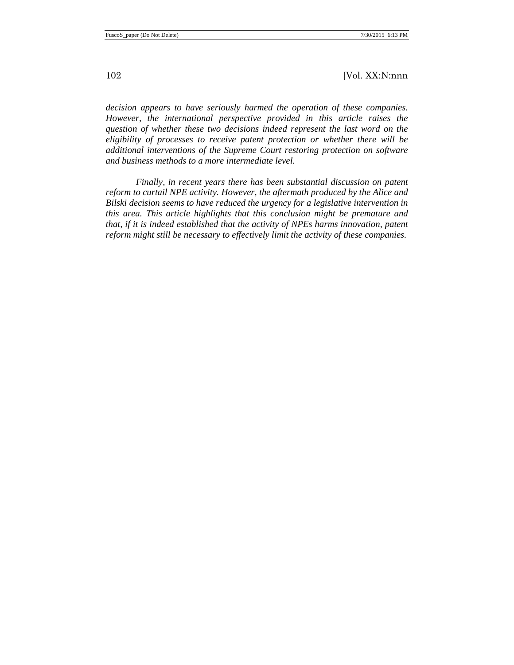*decision appears to have seriously harmed the operation of these companies. However, the international perspective provided in this article raises the question of whether these two decisions indeed represent the last word on the eligibility of processes to receive patent protection or whether there will be additional interventions of the Supreme Court restoring protection on software and business methods to a more intermediate level.* 

*Finally, in recent years there has been substantial discussion on patent reform to curtail NPE activity. However, the aftermath produced by the Alice and Bilski decision seems to have reduced the urgency for a legislative intervention in this area. This article highlights that this conclusion might be premature and that, if it is indeed established that the activity of NPEs harms innovation, patent reform might still be necessary to effectively limit the activity of these companies.*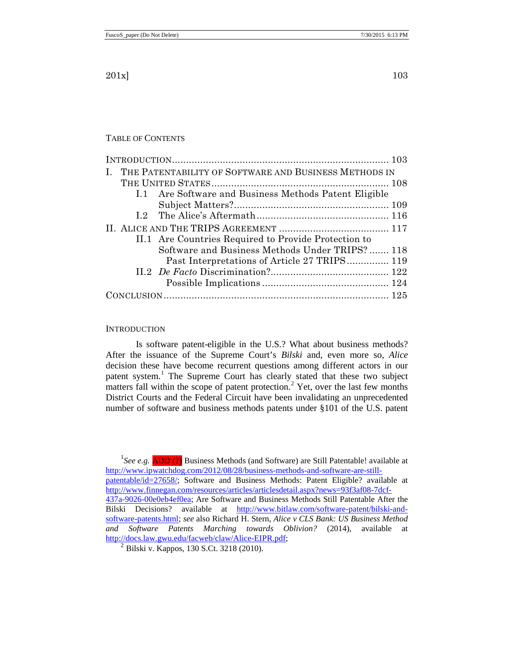### TABLE OF CONTENTS

| THE PATENTABILITY OF SOFTWARE AND BUSINESS METHODS IN |
|-------------------------------------------------------|
|                                                       |
| I.1 Are Software and Business Methods Patent Eligible |
|                                                       |
|                                                       |
|                                                       |
| II.1 Are Countries Required to Provide Protection to  |
| Software and Business Methods Under TRIPS? 118        |
| Past Interpretations of Article 27 TRIPS 119          |
|                                                       |
|                                                       |
|                                                       |

#### <span id="page-2-0"></span>INTRODUCTION

Is software patent-eligible in the U.S.? What about business methods? After the issuance of the Supreme Court's *Bilski* and, even more so, *Alice* decision these have become recurrent questions among different actors in our patent system.<sup>[1](#page-2-1)</sup> The Supreme Court has clearly stated that these two subject matters fall within the scope of patent protection.<sup>[2](#page-2-2)</sup> Yet, over the last few months District Courts and the Federal Circuit have been invalidating an unprecedented number of software and business methods patents under §101 of the U.S. patent

<span id="page-2-1"></span><sup>1</sup>See e.g. **ADD (?)** Business Methods (and Software) are Still Patentable! available at [http://www.ipwatchdog.com/2012/08/28/business-methods-and-software-are-still](http://www.ipwatchdog.com/2012/08/28/business-methods-and-software-are-still-patentable/id=27658/)[patentable/id=27658/;](http://www.ipwatchdog.com/2012/08/28/business-methods-and-software-are-still-patentable/id=27658/) Software and Business Methods: Patent Eligible? available at [http://www.finnegan.com/resources/articles/articlesdetail.aspx?news=93f3af08-7dcf-](http://www.finnegan.com/resources/articles/articlesdetail.aspx?news=93f3af08-7dcf-437a-9026-00e0eb4ef0ea)[437a-9026-00e0eb4ef0ea;](http://www.finnegan.com/resources/articles/articlesdetail.aspx?news=93f3af08-7dcf-437a-9026-00e0eb4ef0ea) Are Software and Business Methods Still Patentable After the Bilski Decisions? available at [http://www.bitlaw.com/software-patent/bilski-and](http://www.bitlaw.com/software-patent/bilski-and-software-patents.html)[software-patents.html;](http://www.bitlaw.com/software-patent/bilski-and-software-patents.html) *see* also Richard H. Stern, *Alice v CLS Bank: US Business Method and Software Patents Marching towards Oblivion?* (2014), available at [http://docs.law.gwu.edu/facweb/claw/Alice-EIPR.pdf;](http://docs.law.gwu.edu/facweb/claw/Alice-EIPR.pdf)

<span id="page-2-2"></span> $^{2}$  Bilski v. Kappos, 130 S.Ct. 3218 (2010).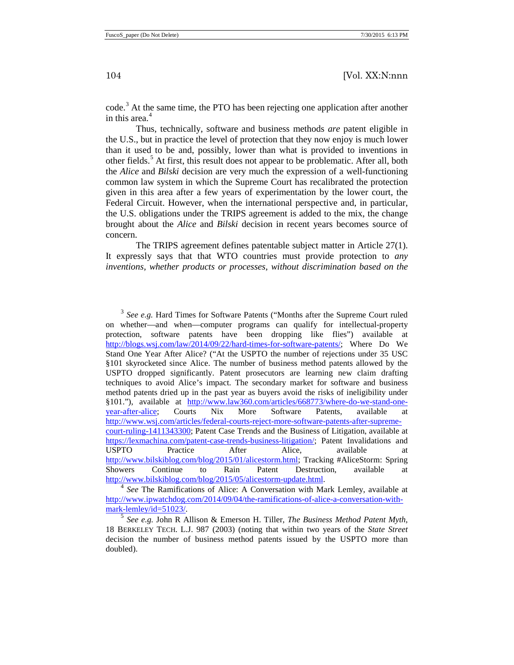<span id="page-3-5"></span><span id="page-3-4"></span>code.<sup>[3](#page-3-0)</sup> At the same time, the PTO has been rejecting one application after another in this area. [4](#page-3-1)

<span id="page-3-3"></span>Thus, technically, software and business methods *are* patent eligible in the U.S., but in practice the level of protection that they now enjoy is much lower than it used to be and, possibly, lower than what is provided to inventions in other fields.<sup>[5](#page-3-2)</sup> At first, this result does not appear to be problematic. After all, both the *Alice* and *Bilski* decision are very much the expression of a well-functioning common law system in which the Supreme Court has recalibrated the protection given in this area after a few years of experimentation by the lower court, the Federal Circuit. However, when the international perspective and, in particular, the U.S. obligations under the TRIPS agreement is added to the mix, the change brought about the *Alice* and *Bilski* decision in recent years becomes source of concern.

The TRIPS agreement defines patentable subject matter in Article 27(1). It expressly says that that WTO countries must provide protection to *any inventions, whether products or processes, without discrimination based on the* 

<span id="page-3-0"></span><sup>3</sup> *See e.g.* Hard Times for Software Patents ("Months after the Supreme Court ruled on whether—and when—computer programs can qualify for intellectual-property protection, software patents have been dropping like flies") available at [http://blogs.wsj.com/law/2014/09/22/hard-times-for-software-patents/;](http://blogs.wsj.com/law/2014/09/22/hard-times-for-software-patents/) Where Do We Stand One Year After Alice? ("At the USPTO the number of rejections under 35 USC §101 skyrocketed since Alice. The number of business method patents allowed by the USPTO dropped significantly. Patent prosecutors are learning new claim drafting techniques to avoid Alice's impact. The secondary market for software and business method patents dried up in the past year as buyers avoid the risks of ineligibility under §101."), available at [http://www.law360.com/articles/668773/where-do-we-stand-one](http://www.law360.com/articles/668773/where-do-we-stand-one-year-after-alice)[year-after-alice;](http://www.law360.com/articles/668773/where-do-we-stand-one-year-after-alice) Courts Nix More Software Patents, available at [http://www.wsj.com/articles/federal-courts-reject-more-software-patents-after-supreme](http://www.wsj.com/articles/federal-courts-reject-more-software-patents-after-supreme-court-ruling-1411343300)[court-ruling-1411343300;](http://www.wsj.com/articles/federal-courts-reject-more-software-patents-after-supreme-court-ruling-1411343300) Patent Case Trends and the Business of Litigation, available at [https://lexmachina.com/patent-case-trends-business-litigation/;](https://lexmachina.com/patent-case-trends-business-litigation/) Patent Invalidations and USPTO Practice After Alice, available at [http://www.bilskiblog.com/blog/2015/01/alicestorm.html;](http://www.bilskiblog.com/blog/2015/01/alicestorm.html) Tracking #AliceStorm: Spring Showers Continue to Rain Patent Destruction, available at http://www.bilskiblog.com/blog/2015/05/alicestorm-update.html.

<span id="page-3-1"></span><sup>&</sup>lt;sup>4</sup> See The Ramifications of Alice: A Conversation with Mark Lemley, available at http://www.ipwatchdog.com/2014/09/04/the-ramifications-of-alice-a-conversation-with-<br>mark-lemley/id=51023/.

<span id="page-3-2"></span><sup>&</sup>lt;sup>5</sup> See e.g. John R Allison & Emerson H. Tiller, *The Business Method Patent Myth*, 18 BERKELEY TECH. L.J. 987 (2003) (noting that within two years of the *State Street* decision the number of business method patents issued by the USPTO more than doubled).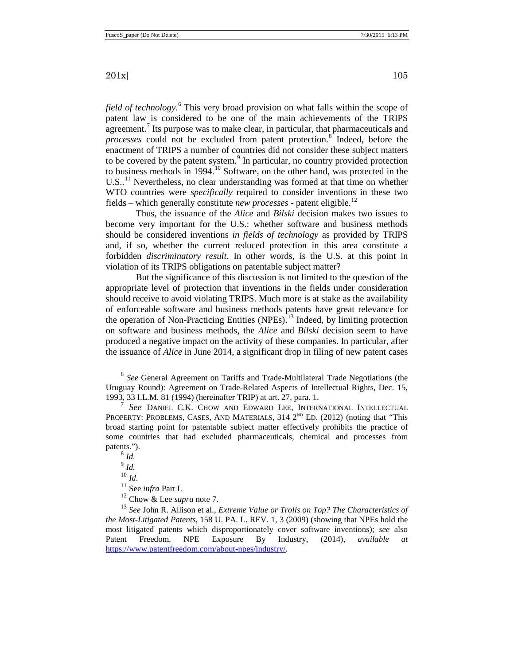<span id="page-4-0"></span>*field of technology*. [6](#page-4-1) This very broad provision on what falls within the scope of patent law is considered to be one of the main achievements of the TRIPS agreement.<sup>[7](#page-4-2)</sup> Its purpose was to make clear, in particular, that pharmaceuticals and *processes* could not be excluded from patent protection. [8](#page-4-3) Indeed, before the enactment of TRIPS a number of countries did not consider these subject matters to be covered by the patent system.<sup>[9](#page-4-4)</sup> In particular, no country provided protection to business methods in 1994.<sup>[10](#page-4-5)</sup> Software, on the other hand, was protected in the U.S..<sup>[11](#page-4-6)</sup> Nevertheless, no clear understanding was formed at that time on whether WTO countries were *specifically* required to consider inventions in these two fields – which generally constitute *new processes* - patent eligible.[12](#page-4-7)

Thus, the issuance of the *Alice* and *Bilski* decision makes two issues to become very important for the U.S.: whether software and business methods should be considered inventions *in fields of technology* as provided by TRIPS and, if so, whether the current reduced protection in this area constitute a forbidden *discriminatory result*. In other words, is the U.S. at this point in violation of its TRIPS obligations on patentable subject matter?

<span id="page-4-9"></span>But the significance of this discussion is not limited to the question of the appropriate level of protection that inventions in the fields under consideration should receive to avoid violating TRIPS. Much more is at stake as the availability of enforceable software and business methods patents have great relevance for the operation of Non-Practicing Entities (NPEs).<sup>[13](#page-4-8)</sup> Indeed, by limiting protection on software and business methods, the *Alice* and *Bilski* decision seem to have produced a negative impact on the activity of these companies. In particular, after the issuance of *Alice* in June 2014, a significant drop in filing of new patent cases

<span id="page-4-1"></span><sup>6</sup> *See* General Agreement on Tariffs and Trade-Multilateral Trade Negotiations (the Uruguay Round): Agreement on Trade-Related Aspects of Intellectual Rights, Dec. 15, 1993, 33 I.L.M. 81 (1994) (hereinafter TRIP) at art. 27, para. 1. <sup>7</sup> *See* DANIEL C.K. CHOW AND EDWARD LEE, INTERNATIONAL INTELLECTUAL

<span id="page-4-3"></span><span id="page-4-2"></span>PROPERTY: PROBLEMS, CASES, AND MATERIALS,  $314 \, 2^{ND}$  ED. (2012) (noting that "This broad starting point for patentable subject matter effectively prohibits the practice of some countries that had excluded pharmaceuticals, chemical and processes from patents.").

<sup>12</sup> Chow & Lee *supra* note [7.](#page-4-0)

<span id="page-4-8"></span><span id="page-4-7"></span><span id="page-4-6"></span><span id="page-4-5"></span><span id="page-4-4"></span><sup>13</sup> *See* John R. Allison et al., *Extreme Value or Trolls on Top? The Characteristics of the Most-Litigated Patents*, 158 U. PA. L. REV. 1, 3 (2009) (showing that NPEs hold the most litigated patents which disproportionately cover software inventions); *see* also Patent Freedom, NPE Exposure By Industry, (2014), *available at*  [https://www.patentfreedom.com/about-npes/industry/.](https://www.patentfreedom.com/about-npes/industry/) 

 $8$  *Id.*  $\int_{0}^{9}$  *Id.*  $\frac{10}{10}$ *Id.*<br><sup>11</sup> See *infra* Part I.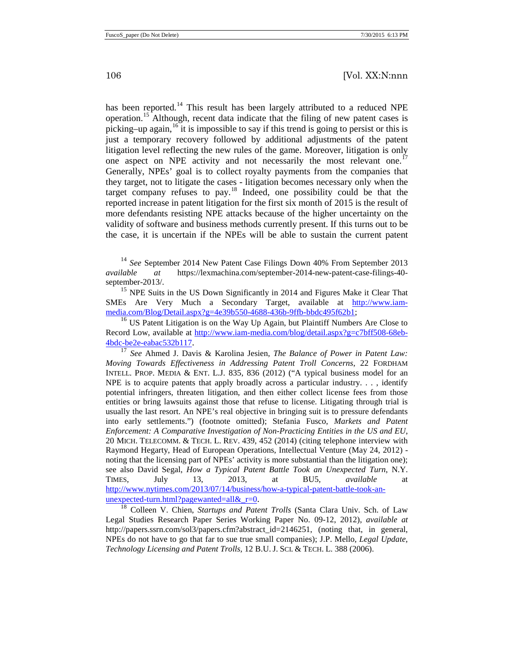<span id="page-5-8"></span><span id="page-5-7"></span><span id="page-5-6"></span>has been reported.<sup>[14](#page-5-0)</sup> This result has been largely attributed to a reduced NPE operation.<sup>[15](#page-5-1)</sup> Although, recent data indicate that the filing of new patent cases is picking–up again, <sup>[16](#page-5-2)</sup> it is impossible to say if this trend is going to persist or this is just a temporary recovery followed by additional adjustments of the patent litigation level reflecting the new rules of the game. Moreover, litigation is only one aspect on NPE activity and not necessarily the most relevant one.<sup>1</sup> Generally, NPEs' goal is to collect royalty payments from the companies that they target, not to litigate the cases - litigation becomes necessary only when the target company refuses to  $pav$ <sup>[18](#page-5-4)</sup>. Indeed, one possibility could be that the reported increase in patent litigation for the first six month of 2015 is the result of more defendants resisting NPE attacks because of the higher uncertainty on the validity of software and business methods currently present. If this turns out to be the case, it is uncertain if the NPEs will be able to sustain the current patent

<span id="page-5-5"></span><span id="page-5-0"></span><sup>14</sup> See September 2014 New Patent Case Filings Down 40% From September 2013 *available at* [https://lexmachina.com/september-2014-new-patent-case-filings-40](https://lexmachina.com/september-2014-new-patent-case-filings-40-september-2013/) [september-2013/.](https://lexmachina.com/september-2014-new-patent-case-filings-40-september-2013/)<br><sup>[15](https://lexmachina.com/september-2014-new-patent-case-filings-40-september-2013/)</sup> NPE Suits in the US Down Significantly in 2014 and Figures Make it Clear That

<span id="page-5-1"></span>SMEs Are Very Much a Secondary Target, available at [http://www.iam](http://www.iam-media.com/Blog/Detail.aspx?g=4e39b550-4688-436b-9ffb-bbdc495f62b1)[media.com/Blog/Detail.aspx?g=4e39b550-4688-436b-9ffb-bbdc495f62b1;](http://www.iam-media.com/Blog/Detail.aspx?g=4e39b550-4688-436b-9ffb-bbdc495f62b1)

<span id="page-5-2"></span><sup>16</sup> US Patent Litigation is on the Way Up Again, but Plaintiff Numbers Are Close to Record Low, available at [http://www.iam-media.com/blog/detail.aspx?g=c7bff508-68eb-](http://www.iam-media.com/blog/detail.aspx?g=c7bff508-68eb-4bdc-be2e-eabac532b117)[4bdc-be2e-eabac532b117.](http://www.iam-media.com/blog/detail.aspx?g=c7bff508-68eb-4bdc-be2e-eabac532b117) 17 *See* Ahmed J. Davis & Karolina Jesien*, The Balance of Power in Patent Law:* 

<span id="page-5-3"></span>*Moving Towards Effectiveness in Addressing Patent Troll Concerns*, 22 FORDHAM INTELL. PROP. MEDIA & ENT. L.J. 835, 836 (2012) ("A typical business model for an NPE is to acquire patents that apply broadly across a particular industry. . . , identify potential infringers, threaten litigation, and then either collect license fees from those entities or bring lawsuits against those that refuse to license. Litigating through trial is usually the last resort. An NPE's real objective in bringing suit is to pressure defendants into early settlements.") (footnote omitted); Stefania Fusco, *Markets and Patent Enforcement: A Comparative Investigation of Non-Practicing Entities in the US and EU*, 20 MICH. TELECOMM. & TECH. L. REV. 439, 452 (2014) (citing telephone interview with Raymond Hegarty, Head of European Operations, Intellectual Venture (May 24, 2012) noting that the licensing part of NPEs' activity is more substantial than the litigation one); see also David Segal, *How a Typical Patent Battle Took an Unexpected Turn*, N.Y. TIMES, July 13, 2013, at BU5, *available* at http://www.nytimes.com/2013/07/14/business/how-a-typical-patent-battle-took-an-<br>unexpected-turn.html?pagewanted=all&  $r=0$ .

<span id="page-5-4"></span><sup>18</sup> Colleen V. Chien, *Startups and Patent Trolls* (Santa Clara Univ. Sch. of Law Legal Studies Research Paper Series Working Paper No. 09-12, 2012), *available at*  http://papers.ssrn.com/sol3/papers.cfm?abstract\_id=2146251, (noting that, in general, NPEs do not have to go that far to sue true small companies); J.P. Mello, *Legal Update, Technology Licensing and Patent Trolls,* 12 B.U. J. SCI. & TECH. L. 388 (2006).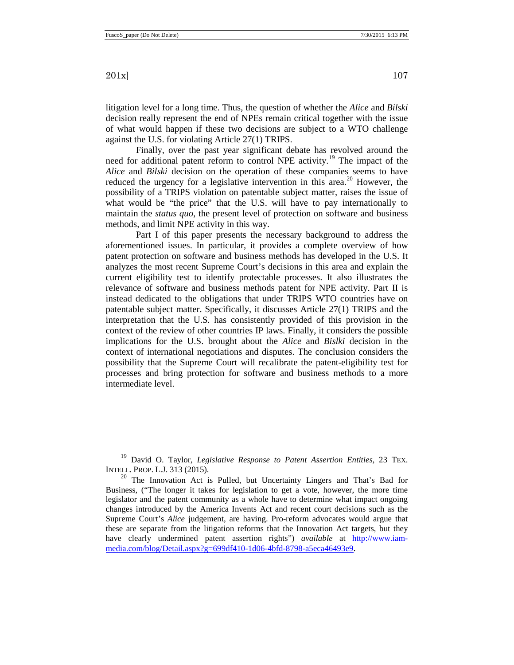litigation level for a long time. Thus, the question of whether the *Alice* and *Bilski* decision really represent the end of NPEs remain critical together with the issue of what would happen if these two decisions are subject to a WTO challenge against the U.S. for violating Article 27(1) TRIPS.

Finally, over the past year significant debate has revolved around the need for additional patent reform to control NPE activity.<sup>[19](#page-6-0)</sup> The impact of the *Alice* and *Bilski* decision on the operation of these companies seems to have reduced the urgency for a legislative intervention in this area.<sup>[20](#page-6-1)</sup> However, the possibility of a TRIPS violation on patentable subject matter, raises the issue of what would be "the price" that the U.S. will have to pay internationally to maintain the *status quo*, the present level of protection on software and business methods, and limit NPE activity in this way.

Part I of this paper presents the necessary background to address the aforementioned issues. In particular, it provides a complete overview of how patent protection on software and business methods has developed in the U.S. It analyzes the most recent Supreme Court's decisions in this area and explain the current eligibility test to identify protectable processes. It also illustrates the relevance of software and business methods patent for NPE activity. Part II is instead dedicated to the obligations that under TRIPS WTO countries have on patentable subject matter. Specifically, it discusses Article 27(1) TRIPS and the interpretation that the U.S. has consistently provided of this provision in the context of the review of other countries IP laws. Finally, it considers the possible implications for the U.S. brought about the *Alice* and *Bislki* decision in the context of international negotiations and disputes. The conclusion considers the possibility that the Supreme Court will recalibrate the patent-eligibility test for processes and bring protection for software and business methods to a more intermediate level.

<span id="page-6-0"></span><sup>19</sup> David O. Taylor, *Legislative Response to Patent Assertion Entities*, 23 TEX. INTELL. PROP. L.J. 313 (2015).<br><sup>20</sup> The Innovation Act is Pulled, but Uncertainty Lingers and That's Bad for

<span id="page-6-1"></span>Business, ("The longer it takes for legislation to get a vote, however, the more time legislator and the patent community as a whole have to determine what impact ongoing changes introduced by the America Invents Act and recent court decisions such as the Supreme Court's *Alice* judgement, are having. Pro-reform advocates would argue that these are separate from the litigation reforms that the Innovation Act targets, but they have clearly undermined patent assertion rights") *available* at [http://www.iam](http://www.iam-media.com/blog/Detail.aspx?g=699df410-1d06-4bfd-8798-a5eca46493e9)[media.com/blog/Detail.aspx?g=699df410-1d06-4bfd-8798-a5eca46493e9.](http://www.iam-media.com/blog/Detail.aspx?g=699df410-1d06-4bfd-8798-a5eca46493e9)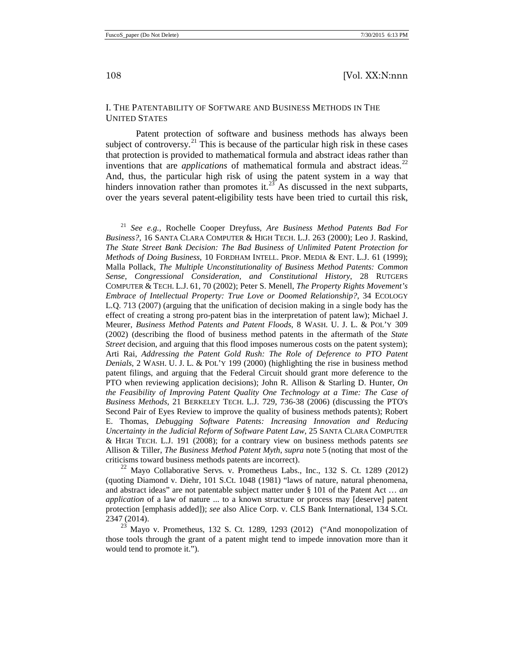#### <span id="page-7-0"></span>I. THE PATENTABILITY OF SOFTWARE AND BUSINESS METHODS IN THE UNITED STATES

<span id="page-7-4"></span>Patent protection of software and business methods has always been subject of controversy.<sup>[21](#page-7-1)</sup> This is because of the particular high risk in these cases that protection is provided to mathematical formula and abstract ideas rather than inventions that are *applications* of mathematical formula and abstract ideas.<sup>[22](#page-7-2)</sup> And, thus, the particular high risk of using the patent system in a way that hinders innovation rather than promotes it.<sup>[23](#page-7-3)</sup> As discussed in the next subparts, over the years several patent-eligibility tests have been tried to curtail this risk,

<span id="page-7-1"></span><sup>21</sup> *See e.g.,* Rochelle Cooper Dreyfuss*, Are Business Method Patents Bad For Business?,* 16 SANTA CLARA COMPUTER & HIGH TECH. L.J. 263 (2000); Leo J. Raskind, *The State Street Bank Decision: The Bad Business of Unlimited Patent Protection for Methods of Doing Business*, 10 FORDHAM INTELL. PROP. MEDIA & ENT. L.J. 61 (1999); Malla Pollack, *The Multiple Unconstitutionality of Business Method Patents: Common Sense, Congressional Consideration, and Constitutional History*, 28 RUTGERS COMPUTER & TECH. L.J. 61, 70 (2002); Peter S. Menell, *The Property Rights Movement's Embrace of Intellectual Property: True Love or Doomed Relationship?*, 34 ECOLOGY L.Q. 713 (2007) (arguing that the unification of decision making in a single body has the effect of creating a strong pro-patent bias in the interpretation of patent law); Michael J. Meurer, *Business Method Patents and Patent Floods*, 8 WASH. U. J. L. & POL'Y 309 (2002) (describing the flood of business method patents in the aftermath of the *State Street* decision, and arguing that this flood imposes numerous costs on the patent system); Arti Rai, *Addressing the Patent Gold Rush: The Role of Deference to PTO Patent Denials*, 2 WASH. U. J. L. & POL'Y 199 (2000) (highlighting the rise in business method patent filings, and arguing that the Federal Circuit should grant more deference to the PTO when reviewing application decisions); John R. Allison & Starling D. Hunter*, On the Feasibility of Improving Patent Quality One Technology at a Time: The Case of Business Methods*, 21 BERKELEY TECH. L.J. 729, 736-38 (2006) (discussing the PTO's Second Pair of Eyes Review to improve the quality of business methods patents); Robert E. Thomas, *Debugging Software Patents: Increasing Innovation and Reducing Uncertainty in the Judicial Reform of Software Patent Law*, 25 SANTA CLARA COMPUTER & HIGH TECH. L.J. 191 (2008); for a contrary view on business methods patents *see* Allison & Tiller, *The Business Method Patent Myth*, *supra* note [5](#page-3-3) (noting that most of the criticisms toward business methods patents are incorrect). <sup>22</sup> Mayo Collaborative Servs. v. Prometheus Labs., Inc., 132 S. Ct. 1289 (2012)

<span id="page-7-2"></span>(quoting Diamond v. Diehr, 101 S.Ct. 1048 (1981) "laws of nature, natural phenomena, and abstract ideas" are not patentable subject matter under § 101 of the Patent Act … *an application* of a law of nature ... to a known structure or process may [deserve] patent protection [emphasis added]); *see* also Alice Corp. v. CLS Bank International, 134 S.Ct. 2347 (2014). 23 Mayo v. Prometheus, 132 S. Ct. 1289, 1293 (2012) ("And monopolization of

<span id="page-7-3"></span>those tools through the grant of a patent might tend to impede innovation more than it would tend to promote it.")*.*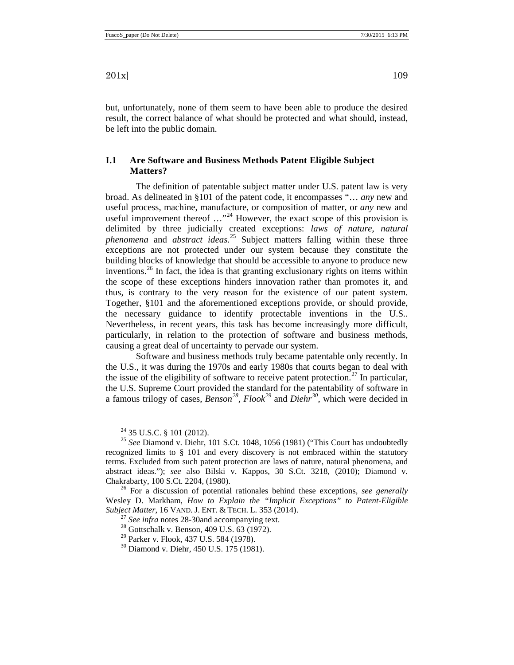but, unfortunately, none of them seem to have been able to produce the desired result, the correct balance of what should be protected and what should, instead, be left into the public domain.

## <span id="page-8-0"></span>**I.1 Are Software and Business Methods Patent Eligible Subject Matters?**

The definition of patentable subject matter under U.S. patent law is very broad. As delineated in §101 of the patent code, it encompasses "… *any* new and useful process, machine, manufacture, or composition of matter, or *any* new and useful improvement thereof  $\ldots$ <sup>[24](#page-8-3)</sup> However, the exact scope of this provision is delimited by three judicially created exceptions: *laws of nature*, *natural phenomena* and *abstract ideas*. [25](#page-8-4) Subject matters falling within these three exceptions are not protected under our system because they constitute the building blocks of knowledge that should be accessible to anyone to produce new inventions. [26](#page-8-5) In fact, the idea is that granting exclusionary rights on items within the scope of these exceptions hinders innovation rather than promotes it, and thus, is contrary to the very reason for the existence of our patent system. Together, §101 and the aforementioned exceptions provide, or should provide, the necessary guidance to identify protectable inventions in the U.S.. Nevertheless, in recent years, this task has become increasingly more difficult, particularly, in relation to the protection of software and business methods, causing a great deal of uncertainty to pervade our system.

Software and business methods truly became patentable only recently. In the U.S., it was during the 1970s and early 1980s that courts began to deal with the issue of the eligibility of software to receive patent protection.<sup>[27](#page-8-6)</sup> In particular, the U.S. Supreme Court provided the standard for the patentability of software in a famous trilogy of cases, *Benson[28](#page-8-7)*, *Flook[29](#page-8-8)* and *Diehr [30](#page-8-9)*, which were decided in

<span id="page-8-9"></span><span id="page-8-8"></span><span id="page-8-7"></span><span id="page-8-6"></span><span id="page-8-5"></span>Wesley D. Markham, *How to Explain the "Implicit Exceptions" to Patent-Eligible* 

<sup>27</sup> See infra notes [28](#page-8-1)[-30a](#page-8-2)nd accompanying text.<br><sup>28</sup> Gottschalk v. Benson, 409 U.S. 63 (1972).

<sup>29</sup> Parker v. Flook, 437 U.S. 584 (1978).<br><sup>30</sup> Diamond v. Diehr, 450 U.S. 175 (1981).

<span id="page-8-2"></span><span id="page-8-1"></span>

<span id="page-8-4"></span><span id="page-8-3"></span><sup>24</sup> 35 U.S.C. § 101 (2012). 25 *See* Diamond v. Diehr, 101 S.Ct. 1048, 1056 (1981) ("This Court has undoubtedly recognized limits to § 101 and every discovery is not embraced within the statutory terms. Excluded from such patent protection are laws of nature, natural phenomena, and abstract ideas."); *see* also Bilski v. Kappos, 30 S.Ct. 3218, (2010); Diamond v. Chakrabarty, 100 S.Ct. 2204, (1980). 26 For a discussion of potential rationales behind these exceptions, *see generally*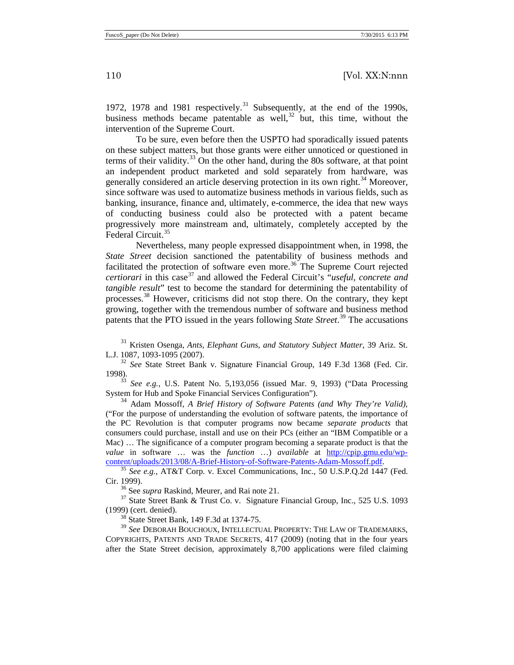1972, 1978 and 1981 respectively. [31](#page-9-0) Subsequently, at the end of the 1990s, business methods became patentable as well,  $32$  but, this time, without the intervention of the Supreme Court.

To be sure, even before then the USPTO had sporadically issued patents on these subject matters, but those grants were either unnoticed or questioned in terms of their validity. $33$  On the other hand, during the 80s software, at that point an independent product marketed and sold separately from hardware, was generally considered an article deserving protection in its own right.<sup>[34](#page-9-3)</sup> Moreover, since software was used to automatize business methods in various fields, such as banking, insurance, finance and, ultimately, e-commerce, the idea that new ways of conducting business could also be protected with a patent became progressively more mainstream and, ultimately, completely accepted by the Federal Circuit.<sup>[35](#page-9-4)</sup>

Nevertheless, many people expressed disappointment when, in 1998, the *State Street* decision sanctioned the patentability of business methods and facilitated the protection of software even more.<sup>[36](#page-9-5)</sup> The Supreme Court rejected *certiorari* in this case<sup>[37](#page-9-6)</sup> and allowed the Federal Circuit's *"useful, concrete and tangible result*" test to become the standard for determining the patentability of processes.[38](#page-9-7) However, criticisms did not stop there. On the contrary, they kept growing, together with the tremendous number of software and business method patents that the PTO issued in the years following *State Street*. [39](#page-9-8) The accusations

<span id="page-9-0"></span><sup>31</sup> Kristen Osenga, *Ants, Elephant Guns, and Statutory Subject Matter*, 39 Ariz. St. L.J. 1087, 1093-1095 (2007). <sup>32</sup> *See* State Street Bank v. Signature Financial Group, 149 F.3d 1368 (Fed. Cir.

<span id="page-9-1"></span>1998). 33 *See e.g.,* U.S. Patent No. 5,193,056 (issued Mar. 9, 1993) ("Data Processing

<span id="page-9-2"></span>System for Hub and Spoke Financial Services Configuration").

<span id="page-9-3"></span><sup>34</sup> Adam Mossoff, *A Brief History of Software Patents (and Why They're Valid)*, ("For the purpose of understanding the evolution of software patents, the importance of the PC Revolution is that computer programs now became *separate products* that consumers could purchase, install and use on their PCs (either an "IBM Compatible or a Mac) … The significance of a computer program becoming a separate product is that the *value* in software ... was the *function* ...) *available* at <u>http://cpip.gmu.edu/wp-content/uploads/2013/08/A-Brief-History-of-Software-Patents-Adam-Mossoff.pdf.</u>

<span id="page-9-4"></span><sup>35</sup> See e.g., AT&T Corp. v. Excel Communications, Inc., 50 U.S.P.Q.2d 1447 (Fed. Cir. 1999).<br><sup>36</sup> See *supra* Raskind, Meurer, and Rai note 21.<br><sup>37</sup> State Street Bank & Trust Co. v. Signature Financial Group, Inc., 525 U.S. 1093

<span id="page-9-6"></span><span id="page-9-5"></span>(1999) (cert. denied). 38 State Street Bank, 149 F.3d at 1374-75.

<span id="page-9-8"></span><span id="page-9-7"></span><sup>39</sup> *See* DEBORAH BOUCHOUX, INTELLECTUAL PROPERTY: THE LAW OF TRADEMARKS, COPYRIGHTS, PATENTS AND TRADE SECRETS, 417 (2009) (noting that in the four years after the State Street decision, approximately 8,700 applications were filed claiming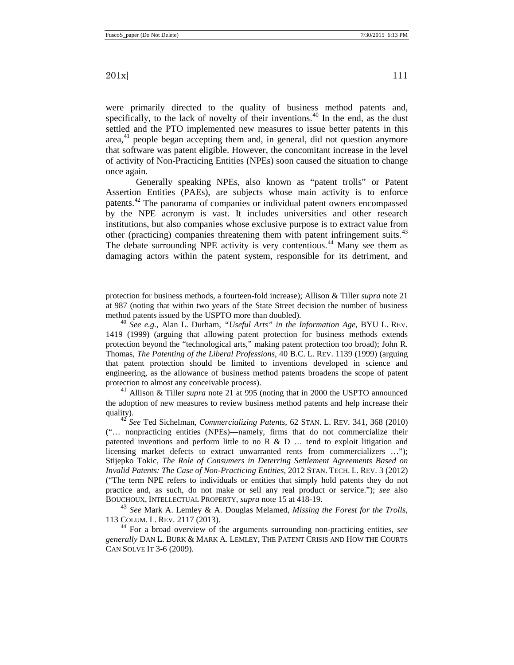were primarily directed to the quality of business method patents and, specifically, to the lack of novelty of their inventions.<sup>[40](#page-10-0)</sup> In the end, as the dust settled and the PTO implemented new measures to issue better patents in this area, [41](#page-10-1) people began accepting them and, in general, did not question anymore that software was patent eligible. However, the concomitant increase in the level of activity of Non-Practicing Entities (NPEs) soon caused the situation to change once again.

Generally speaking NPEs, also known as "patent trolls" or Patent Assertion Entities (PAEs), are subjects whose main activity is to enforce patents.<sup>[42](#page-10-2)</sup> The panorama of companies or individual patent owners encompassed by the NPE acronym is vast. It includes universities and other research institutions, but also companies whose exclusive purpose is to extract value from other (practicing) companies threatening them with patent infringement suits.<sup>[43](#page-10-3)</sup> The debate surrounding NPE activity is very contentious. [44](#page-10-4) Many see them as damaging actors within the patent system, responsible for its detriment, and

protection for business methods, a fourteen-fold increase); Allison & Tiller *supra* note [21](#page-7-4) at 987 (noting that within two years of the State Street decision the number of business method patents issued by the USPTO more than doubled). 40 *See e.g.,* Alan L. Durham, *"Useful Arts" in the Information Age*, BYU L. REV.

<span id="page-10-0"></span>1419 (1999) (arguing that allowing patent protection for business methods extends protection beyond the "technological arts," making patent protection too broad); John R. Thomas, *The Patenting of the Liberal Professions*, 40 B.C. L. REV. 1139 (1999) (arguing that patent protection should be limited to inventions developed in science and engineering, as the allowance of business method patents broadens the scope of patent protection to almost any conceivable process).

<span id="page-10-1"></span><sup>41</sup> Allison & Tiller *supra* note [21](#page-7-4) at 995 (noting that in 2000 the USPTO announced the adoption of new measures to review business method patents and help increase their quality). 42 *See* Ted Sichelman, *Commercializing Patents*, 62 STAN. L. REV. 341, 368 (2010)

<span id="page-10-2"></span>("… nonpracticing entities (NPEs)—namely, firms that do not commercialize their patented inventions and perform little to no R  $\&$  D  $\ldots$  tend to exploit litigation and licensing market defects to extract unwarranted rents from commercializers …"); Stijepko Tokic, *The Role of Consumers in Deterring Settlement Agreements Based on Invalid Patents: The Case of Non-Practicing Entities,* 2012 STAN. TECH. L. REV. 3 (2012) ("The term NPE refers to individuals or entities that simply hold patents they do not practice and, as such, do not make or sell any real product or service."); *see* also BOUCHOUX, INTELLECTUAL PROPERTY, *supra* note 15 at 418-19.

<span id="page-10-3"></span><sup>43</sup> *See* Mark A. Lemley & A. Douglas Melamed, *Missing the Forest for the Trolls*,

<span id="page-10-4"></span><sup>44</sup> For a broad overview of the arguments surrounding non-practicing entities, *see generally* DAN L. BURK & MARK A. LEMLEY, THE PATENT CRISIS AND HOW THE COURTS CAN SOLVE IT 3-6 (2009).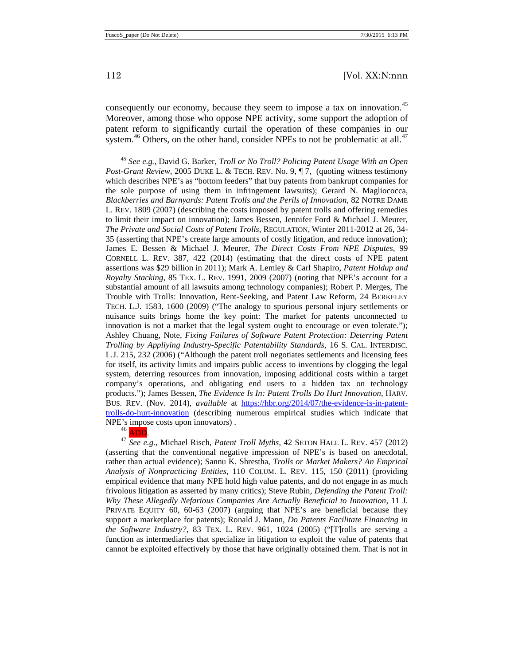consequently our economy, because they seem to impose a tax on innovation.<sup>[45](#page-11-0)</sup> Moreover, among those who oppose NPE activity, some support the adoption of patent reform to significantly curtail the operation of these companies in our system.<sup>[46](#page-11-1)</sup> Others, on the other hand, consider NPEs to not be problematic at all.<sup>[47](#page-11-2)</sup>

<span id="page-11-0"></span><sup>45</sup> *See e.g.,* David G. Barker, *Troll or No Troll? Policing Patent Usage With an Open Post-Grant Review*, 2005 DUKE L. & TECH. REV. No. 9, ¶ 7, (quoting witness testimony which describes NPE's as "bottom feeders" that buy patents from bankrupt companies for the sole purpose of using them in infringement lawsuits); Gerard N. Magliococca, *Blackberries and Barnyards: Patent Trolls and the Perils of Innovation*, 82 NOTRE DAME L. REV. 1809 (2007) (describing the costs imposed by patent trolls and offering remedies to limit their impact on innovation); James Bessen, Jennifer Ford & Michael J. Meurer, *The Private and Social Costs of Patent Trolls*, REGULATION, Winter 2011-2012 at 26, 34- 35 (asserting that NPE's create large amounts of costly litigation, and reduce innovation); James E. Bessen & Michael J. Meurer, *The Direct Costs From NPE Disputes*, 99 CORNELL L. REV. 387, 422 (2014) (estimating that the direct costs of NPE patent assertions was \$29 billion in 2011); Mark A. Lemley & Carl Shapiro, *Patent Holdup and Royalty Stacking*, 85 TEX. L. REV. 1991, 2009 (2007) (noting that NPE's account for a substantial amount of all lawsuits among technology companies); Robert P. Merges, The Trouble with Trolls: Innovation, Rent-Seeking, and Patent Law Reform, 24 BERKELEY TECH. L.J. 1583, 1600 (2009) ("The analogy to spurious personal injury settlements or nuisance suits brings home the key point: The market for patents unconnected to innovation is not a market that the legal system ought to encourage or even tolerate."); Ashley Chuang, Note, *Fixing Failures of Software Patent Protection: Deterring Patent Trolling by Appliying Industry-Specific Patentability Standards*, 16 S. CAL. INTERDISC. L.J. 215, 232 (2006) ("Although the patent troll negotiates settlements and licensing fees for itself, its activity limits and impairs public access to inventions by clogging the legal system, deterring resources from innovation, imposing additional costs within a target company's operations, and obligating end users to a hidden tax on technology products."); James Bessen, *The Evidence Is In: Patent Trolls Do Hurt Innovation*, HARV. BUS. REV. (Nov. 2014), *available* at [https://hbr.org/2014/07/the-evidence-is-in-patent](https://hbr.org/2014/07/the-evidence-is-in-patent-trolls-do-hurt-innovation)[trolls-do-hurt-innovation](https://hbr.org/2014/07/the-evidence-is-in-patent-trolls-do-hurt-innovation) (describing numerous empirical studies which indicate that NPE's impose costs upon innovators).<br> $^{46}$  ADD.

<span id="page-11-2"></span><span id="page-11-1"></span><sup>47</sup> See e.g., Michael Risch, *Patent Troll Myths*, 42 SETON HALL L. REV. 457 (2012) (asserting that the conventional negative impression of NPE's is based on anecdotal, rather than actual evidence); Sannu K. Shrestha, *Trolls or Market Makers? An Emprical Analysis of Nonpracticing Entities*, 110 COLUM. L. REV. 115, 150 (2011) (providing empirical evidence that many NPE hold high value patents, and do not engage in as much frivolous litigation as asserted by many critics); Steve Rubin, *Defending the Patent Troll: Why These Allegedly Nefarious Companies Are Actually Beneficial to Innovation*, 11 J. PRIVATE EQUITY 60, 60-63 (2007) (arguing that NPE's are beneficial because they support a marketplace for patents); Ronald J. Mann, *Do Patents Facilitate Financing in the Software Industry?*, 83 TEX. L. REV. 961, 1024 (2005) ("[T]rolls are serving a function as intermediaries that specialize in litigation to exploit the value of patents that cannot be exploited effectively by those that have originally obtained them. That is not in

<span id="page-11-3"></span>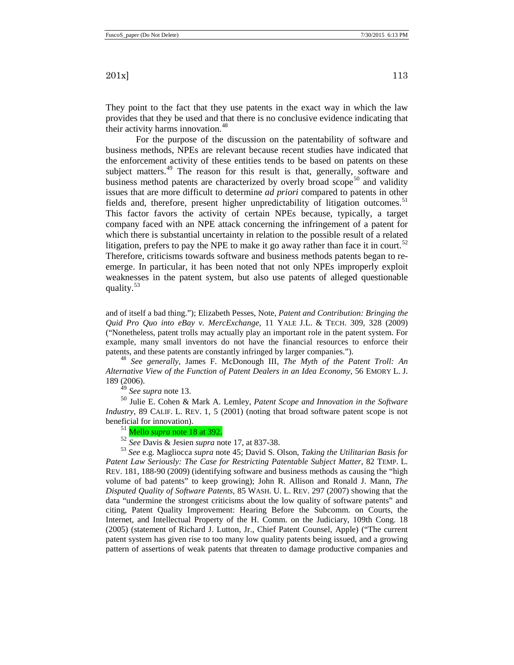They point to the fact that they use patents in the exact way in which the law provides that they be used and that there is no conclusive evidence indicating that their activity harms innovation.<sup>[48](#page-12-0)</sup>

For the purpose of the discussion on the patentability of software and business methods, NPEs are relevant because recent studies have indicated that the enforcement activity of these entities tends to be based on patents on these subject matters.<sup>[49](#page-12-1)</sup> The reason for this result is that, generally, software and business method patents are characterized by overly broad scope<sup>[50](#page-12-2)</sup> and validity issues that are more difficult to determine *ad priori* compared to patents in other fields and, therefore, present higher unpredictability of litigation outcomes.<sup>[51](#page-12-3)</sup> This factor favors the activity of certain NPEs because, typically, a target company faced with an NPE attack concerning the infringement of a patent for which there is substantial uncertainty in relation to the possible result of a related litigation, prefers to pay the NPE to make it go away rather than face it in court.<sup>[52](#page-12-4)</sup> Therefore, criticisms towards software and business methods patents began to reemerge. In particular, it has been noted that not only NPEs improperly exploit weaknesses in the patent system, but also use patents of alleged questionable quality.<sup>[53](#page-12-5)</sup>

and of itself a bad thing."); Elizabeth Pesses, Note, *Patent and Contribution: Bringing the Quid Pro Quo into eBay v. MercExchange*, 11 YALE J.L. & TECH. 309, 328 (2009) ("Nonetheless, patent trolls may actually play an important role in the patent system. For example, many small inventors do not have the financial resources to enforce their patents, and these patents are constantly infringed by larger companies."). <sup>48</sup> *See generally,* James F. McDonough III, *The Myth of the Patent Troll: An* 

<span id="page-12-0"></span>*Alternative View of the Function of Patent Dealers in an Idea Economy*, 56 EMORY L. J. 189 (2006).<br> $49 \text{ See supra note} 13.$ 

<span id="page-12-2"></span><span id="page-12-1"></span><sup>50</sup> Julie E. Cohen & Mark A. Lemley, *Patent Scope and Innovation in the Software Industry*, 89 CALIF. L. REV. 1, 5 (2001) (noting that broad software patent scope is not beneficial for innovation).

<sup>51</sup> Mello *supra* note [18](#page-5-5) at 392.<br><sup>52</sup> *See* Davis & Jesien *supra* note 17, at 837-38.

<span id="page-12-5"></span><span id="page-12-4"></span><span id="page-12-3"></span><sup>53</sup> See e.g. Magliocca *supra* note [45;](#page-11-3) David S. Olson, *Taking the Utilitarian Basis for Patent Law Seriously: The Case for Restricting Patentable Subject Matter*, 82 TEMP. L. REV. 181, 188-90 (2009) (identifying software and business methods as causing the "high volume of bad patents" to keep growing); John R. Allison and Ronald J. Mann, *The Disputed Quality of Software Patents*, 85 WASH. U. L. REV. 297 (2007) Showing that the data "undermine the strongest criticisms about the low quality of software patents" and citing, Patent Quality Improvement: Hearing Before the Subcomm. on Courts, the Internet, and Intellectual Property of the H. Comm. on the Judiciary, 109th Cong. 18 (2005) (statement of Richard J. Lutton, Jr., Chief Patent Counsel, Apple) ("The current patent system has given rise to too many low quality patents being issued, and a growing pattern of assertions of weak patents that threaten to damage productive companies and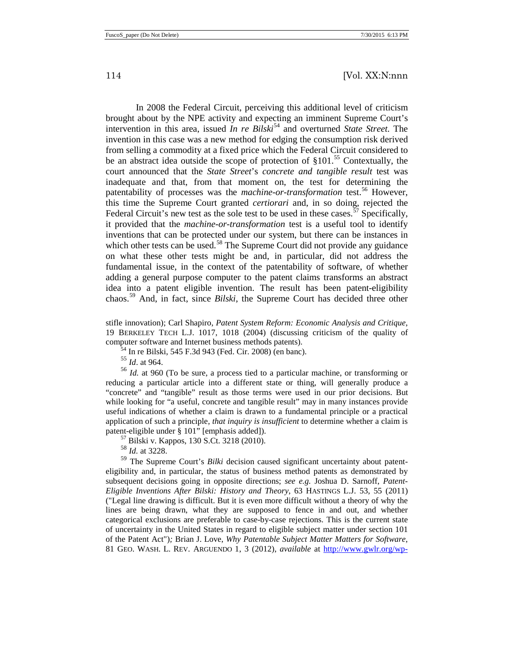In 2008 the Federal Circuit, perceiving this additional level of criticism brought about by the NPE activity and expecting an imminent Supreme Court's intervention in this area, issued *In re Bilski*<sup>[54](#page-13-0)</sup> and overturned *State Street*. The invention in this case was a new method for edging the consumption risk derived from selling a commodity at a fixed price which the Federal Circuit considered to be an abstract idea outside the scope of protection of  $§101<sup>55</sup>$  $§101<sup>55</sup>$  $§101<sup>55</sup>$  Contextually, the court announced that the *State Street*'s *concrete and tangible result* test was inadequate and that, from that moment on, the test for determining the patentability of processes was the *machine-or-transformation* test.<sup>[56](#page-13-2)</sup> However, this time the Supreme Court granted *certiorari* and, in so doing, rejected the Federal Circuit's new test as the sole test to be used in these cases.<sup> $57$ </sup> Specifically, it provided that the *machine-or-transformation* test is a useful tool to identify inventions that can be protected under our system, but there can be instances in which other tests can be used.<sup>[58](#page-13-4)</sup> The Supreme Court did not provide any guidance on what these other tests might be and, in particular, did not address the fundamental issue, in the context of the patentability of software, of whether adding a general purpose computer to the patent claims transforms an abstract idea into a patent eligible invention. The result has been patent-eligibility chaos.[59](#page-13-5) And, in fact, since *Bilski*, the Supreme Court has decided three other

<span id="page-13-6"></span>stifle innovation); Carl Shapiro, *Patent System Reform: Economic Analysis and Critique*, 19 BERKELEY TECH L.J. 1017, 1018 (2004) (discussing criticism of the quality of computer software and Internet business methods patents).<br><sup>54</sup> In re Bilski, 545 F.3d 943 (Fed. Cir. 2008) (en banc).<br><sup>55</sup> *Id.* at 964.

<span id="page-13-2"></span><span id="page-13-1"></span><span id="page-13-0"></span><sup>56</sup> *Id.* at 960 (To be sure, a process tied to a particular machine, or transforming or reducing a particular article into a different state or thing, will generally produce a "concrete" and "tangible" result as those terms were used in our prior decisions. But while looking for "a useful, concrete and tangible result" may in many instances provide useful indications of whether a claim is drawn to a fundamental principle or a practical application of such a principle, *that inquiry is insufficient* to determine whether a claim is patent-eligible under § 101" [emphasis added]).<br><sup>57</sup> Bilski v. Kappos, 130 S.Ct. 3218 (2010).

<sup>58</sup> *Id.* at 3228.

<span id="page-13-5"></span><span id="page-13-4"></span><span id="page-13-3"></span><sup>59</sup> The Supreme Court's *Bilki* decision caused significant uncertainty about patenteligibility and, in particular, the status of business method patents as demonstrated by subsequent decisions going in opposite directions; *see e.g.* Joshua D. Sarnoff, *Patent-Eligible Inventions After Bilski: History and Theory*, 63 HASTINGS L.J. 53, 55 (2011) ("Legal line drawing is difficult. But it is even more difficult without a theory of why the lines are being drawn, what they are supposed to fence in and out, and whether categorical exclusions are preferable to case-by-case rejections. This is the current state of uncertainty in the United States in regard to eligible subject matter under section 101 of the Patent Act")*;* Brian J. Love, *Why Patentable Subject Matter Matters for Software*, 81 GEO. WASH. L. REV. ARGUENDO 1, 3 (2012), *available* at [http://www.gwlr.org/wp-](http://www.gwlr.org/wp-content/uploads/2012/09/Love_Arguendo_81_1.pdf)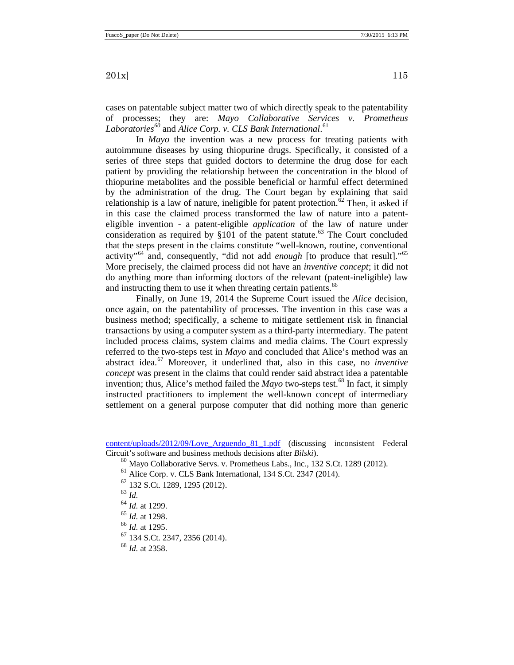cases on patentable subject matter two of which directly speak to the patentability of processes; they are: *Mayo Collaborative Services v. Prometheus Laboratories[60](#page-14-0)* and *Alice Corp. v. CLS Bank International*. [61](#page-14-1)

In *Mayo* the invention was a new process for treating patients with autoimmune diseases by using thiopurine drugs. Specifically, it consisted of a series of three steps that guided doctors to determine the drug dose for each patient by providing the relationship between the concentration in the blood of thiopurine metabolites and the possible beneficial or harmful effect determined by the administration of the drug. The Court began by explaining that said relationship is a law of nature, ineligible for patent protection.<sup>[62](#page-14-2)</sup> Then, it asked if in this case the claimed process transformed the law of nature into a patenteligible invention - a patent-eligible *application* of the law of nature under consideration as required by §101 of the patent statute.<sup>[63](#page-14-3)</sup> The Court concluded that the steps present in the claims constitute "well-known, routine, conventional activity"[64](#page-14-4) and, consequently, "did not add *enough* [to produce that result]."[65](#page-14-5) More precisely, the claimed process did not have an *inventive concept*; it did not do anything more than informing doctors of the relevant (patent-ineligible) law and instructing them to use it when threating certain patients.<sup>[66](#page-14-6)</sup>

Finally, on June 19, 2014 the Supreme Court issued the *Alice* decision, once again, on the patentability of processes. The invention in this case was a business method; specifically, a scheme to mitigate settlement risk in financial transactions by using a computer system as a third-party intermediary. The patent included process claims, system claims and media claims. The Court expressly referred to the two-steps test in *Mayo* and concluded that Alice's method was an abstract idea.[67](#page-14-7) Moreover, it underlined that, also in this case, no *inventive concept* was present in the claims that could render said abstract idea a patentable invention; thus, Alice's method failed the  $Mayo$  two-steps test.<sup>[68](#page-14-8)</sup> In fact, it simply instructed practitioners to implement the well-known concept of intermediary settlement on a general purpose computer that did nothing more than generic

<span id="page-14-3"></span><span id="page-14-2"></span><span id="page-14-1"></span><span id="page-14-0"></span>[content/uploads/2012/09/Love\\_Arguendo\\_81\\_1.pdf](http://www.gwlr.org/wp-content/uploads/2012/09/Love_Arguendo_81_1.pdf) (discussing inconsistent Federal Circuit's software and business methods decisions after *Bilski*).

- $^{60}$  Mayo Collaborative Servs. v. Prometheus Labs., Inc., 132 S.Ct. 1289 (2012).
- <sup>61</sup> Alice Corp. v. CLS Bank International, 134 S.Ct. 2347 (2014).
- <sup>62</sup> 132 S.Ct. 1289, 1295 (2012). <sup>63</sup> *Id.*
- <span id="page-14-4"></span>
- <sup>64</sup> *Id.* at 1299.
- 
- <span id="page-14-5"></span><sup>65</sup> *Id.* at 1298. <sup>66</sup> *Id.* at 1295.
- <span id="page-14-8"></span><span id="page-14-7"></span><span id="page-14-6"></span><sup>67</sup> 134 S.Ct. 2347, 2356 (2014). <sup>68</sup> *Id.* at 2358.
-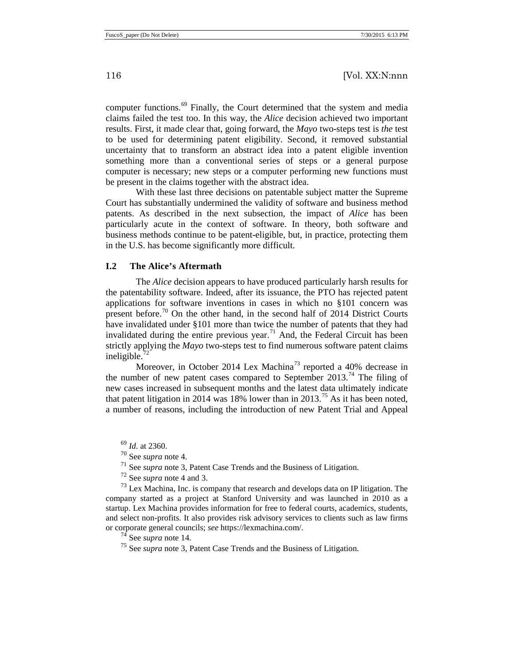computer functions. [69](#page-15-1) Finally, the Court determined that the system and media claims failed the test too. In this way, the *Alice* decision achieved two important results. First, it made clear that, going forward, the *Mayo* two-steps test is *the* test to be used for determining patent eligibility. Second, it removed substantial uncertainty that to transform an abstract idea into a patent eligible invention something more than a conventional series of steps or a general purpose computer is necessary; new steps or a computer performing new functions must be present in the claims together with the abstract idea.

With these last three decisions on patentable subject matter the Supreme Court has substantially undermined the validity of software and business method patents. As described in the next subsection, the impact of *Alice* has been particularly acute in the context of software. In theory, both software and business methods continue to be patent-eligible, but, in practice, protecting them in the U.S. has become significantly more difficult.

#### <span id="page-15-0"></span>**I.2 The Alice's Aftermath**

The *Alice* decision appears to have produced particularly harsh results for the patentability software. Indeed, after its issuance, the PTO has rejected patent applications for software inventions in cases in which no §101 concern was present before.<sup>[70](#page-15-2)</sup> On the other hand, in the second half of 2014 District Courts have invalidated under §101 more than twice the number of patents that they had invalidated during the entire previous year.<sup>[71](#page-15-3)</sup> And, the Federal Circuit has been strictly applying the *Mayo* two-steps test to find numerous software patent claims ineligible.<sup>[72](#page-15-4)</sup>

Moreover, in October 2014 Lex Machina<sup>[73](#page-15-5)</sup> reported a 40% decrease in the number of new patent cases compared to September 2013.<sup>[74](#page-15-6)</sup> The filing of new cases increased in subsequent months and the latest data ultimately indicate that patent litigation in 2014 was 18% lower than in 2013.<sup>[75](#page-15-7)</sup> As it has been noted, a number of reasons, including the introduction of new Patent Trial and Appeal

<span id="page-15-7"></span><span id="page-15-6"></span><span id="page-15-5"></span><span id="page-15-4"></span><span id="page-15-3"></span><span id="page-15-2"></span><span id="page-15-1"></span><sup>73</sup> Lex Machina, Inc. is company that research and develops data on IP litigation. The company started as a project at Stanford University and was launched in 2010 as a startup. Lex Machina provides information for free to federal courts, academics, students, and select non-profits. It also provides risk advisory services to clients such as law firms or corporate general councils; *see* [https://lexmachina.com/.](https://lexmachina.com/)<br><sup>74</sup> See *supra* not[e 14.](#page-5-7)<br><sup>75</sup> See *supra* not[e 3,](#page-3-5) Patent Case Trends and the Business of Litigation.

<span id="page-15-8"></span>

 $^{69}$  *Id.* at 2360.<br><sup>70</sup> See *supra* note 4.

<sup>&</sup>lt;sup>71</sup> See *supra* not[e 3,](#page-3-5) Patent Case Trends and the Business of Litigation.<br><sup>72</sup> See *supra* note 4 and 3.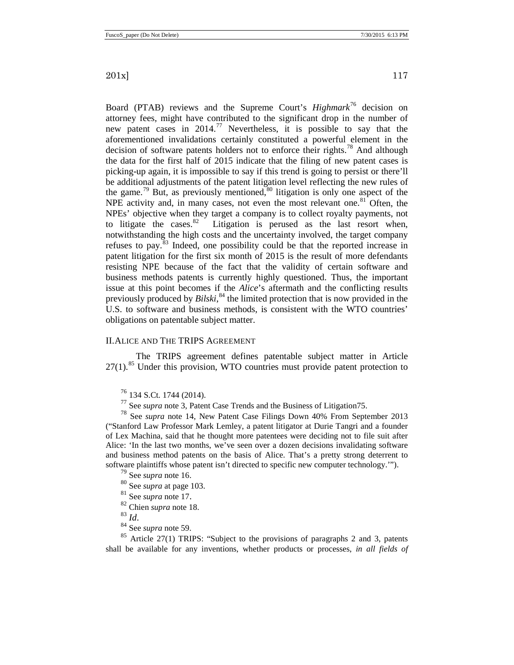Board (PTAB) reviews and the Supreme Court's *Highmark*[76](#page-16-1) decision on attorney fees, might have contributed to the significant drop in the number of new patent cases in 2014. [77](#page-16-2) Nevertheless, it is possible to say that the aforementioned invalidations certainly constituted a powerful element in the decision of software patents holders not to enforce their rights.<sup>[78](#page-16-3)</sup> And although the data for the first half of 2015 indicate that the filing of new patent cases is picking-up again, it is impossible to say if this trend is going to persist or there'll be additional adjustments of the patent litigation level reflecting the new rules of the game.<sup>[79](#page-16-4)</sup> But, as previously mentioned,<sup>[80](#page-16-5)</sup> litigation is only one aspect of the NPE activity and, in many cases, not even the most relevant one.<sup>[81](#page-16-6)</sup> Often, the NPEs' objective when they target a company is to collect royalty payments, not to litigate the cases. $82$  Litigation is perused as the last resort when, notwithstanding the high costs and the uncertainty involved, the target company refuses to pay. $83$  Indeed, one possibility could be that the reported increase in patent litigation for the first six month of 2015 is the result of more defendants resisting NPE because of the fact that the validity of certain software and business methods patents is currently highly questioned. Thus, the important issue at this point becomes if the *Alice*'s aftermath and the conflicting results previously produced by *Bilski*, [84](#page-16-9) the limited protection that is now provided in the U.S. to software and business methods, is consistent with the WTO countries' obligations on patentable subject matter.

#### <span id="page-16-0"></span>II.ALICE AND THE TRIPS AGREEMENT

<span id="page-16-11"></span>The TRIPS agreement defines patentable subject matter in Article 27(1).<sup>[85](#page-16-10)</sup> Under this provision, WTO countries must provide patent protection to

<span id="page-16-3"></span><span id="page-16-2"></span><span id="page-16-1"></span><sup>76</sup> 134 S.Ct. 1744 (2014). <sup>77</sup> See *supra* not[e 3,](#page-3-5) Patent Case Trends and the Business of Litigatio[n75.](#page-15-8) <sup>78</sup> See *supra* note [14,](#page-5-7) New Patent Case Filings Down 40% From September 2013 ("Stanford Law Professor Mark Lemley, a patent litigator at Durie Tangri and a founder of Lex Machina, said that he thought more patentees were deciding not to file suit after Alice: 'In the last two months, we've seen over a dozen decisions invalidating software and business method patents on the basis of Alice. That's a pretty strong deterrent to software plaintiffs whose patent isn't directed to specific new computer technology.'").

- 
- <sup>79</sup> See *supra* not[e 16.](#page-5-8)<br><sup>80</sup> See *supra* at page [103.](#page-2-0)<br><sup>81</sup> See *supra* note 17.
- 
- $\frac{82}{83}$  Chien *supra* note [18.](#page-5-5)  $\frac{83}{64}$
- 
- 

<span id="page-16-10"></span><span id="page-16-9"></span><span id="page-16-8"></span><span id="page-16-7"></span><span id="page-16-6"></span><span id="page-16-5"></span><span id="page-16-4"></span><sup>84</sup> See *supra* note [59.](#page-13-6)<br><sup>85</sup> Article 27(1) TRIPS: "Subject to the provisions of paragraphs 2 and 3, patents shall be available for any inventions, whether products or processes, *in all fields of*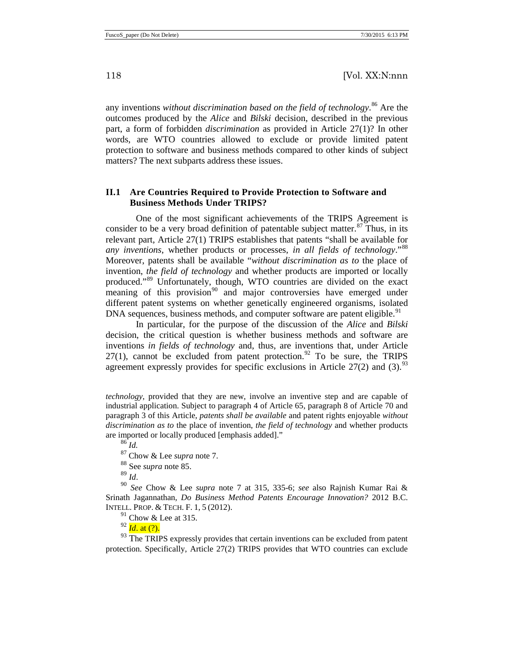any inventions *without discrimination based on the field of technology*. [86](#page-17-1) Are the outcomes produced by the *Alice* and *Bilski* decision, described in the previous part, a form of forbidden *discrimination* as provided in Article 27(1)? In other words, are WTO countries allowed to exclude or provide limited patent protection to software and business methods compared to other kinds of subject matters? The next subparts address these issues.

## <span id="page-17-0"></span>**II.1 Are Countries Required to Provide Protection to Software and Business Methods Under TRIPS?**

One of the most significant achievements of the TRIPS Agreement is consider to be a very broad definition of patentable subject matter.<sup>[87](#page-17-2)</sup> Thus, in its relevant part, Article 27(1) TRIPS establishes that patents "shall be available for *any inventions*, whether products or processes, *in all fields of technology*."[88](#page-17-3) Moreover, patents shall be available "*without discrimination as to* the place of invention, *the field of technology* and whether products are imported or locally produced."[89](#page-17-4) Unfortunately, though, WTO countries are divided on the exact meaning of this provision<sup>[90](#page-17-5)</sup> and major controversies have emerged under different patent systems on whether genetically engineered organisms, isolated DNA sequences, business methods, and computer software are patent eligible.<sup>[91](#page-17-6)</sup>

In particular, for the purpose of the discussion of the *Alice* and *Bilski* decision, the critical question is whether business methods and software are inventions *in fields of technology* and, thus, are inventions that, under Article  $27(1)$ , cannot be excluded from patent protection.<sup>[92](#page-17-7)</sup> To be sure, the TRIPS agreement expressly provides for specific exclusions in Article  $27(2)$  and  $(3)$ .<sup>[93](#page-17-8)</sup>

*technology*, provided that they are new, involve an inventive step and are capable of industrial application. Subject to paragraph 4 of Article 65, paragraph 8 of Article 70 and paragraph 3 of this Article, *patents shall be available* and patent rights enjoyable *without discrimination as to* the place of invention, *the field of technology* and whether products are imported or locally produced [emphasis added]."

<sup>86</sup> *Id.*

<sup>87</sup> Chow & Lee *supra* not[e 7.](#page-4-0)<br><sup>88</sup> See *supra* note 85.

<span id="page-17-5"></span><span id="page-17-4"></span><span id="page-17-3"></span><span id="page-17-2"></span><span id="page-17-1"></span>89 *Id.*<br><sup>90</sup> *See* Chow & Lee *supra* note [7](#page-4-0) at 315, 335-6; *see* also Rajnish Kumar Rai & Srinath Jagannathan, *Do Business Method Patents Encourage Innovation?* 2012 B.C. INTELL. PROP. & TECH. F. 1, 5 (2012).

 $91$  Chow & Lee at 315.

<sup>92</sup> *Id*. at (?).

<span id="page-17-8"></span><span id="page-17-7"></span><span id="page-17-6"></span><sup>93</sup> The TRIPS expressly provides that certain inventions can be excluded from patent protection. Specifically, Article 27(2) TRIPS provides that WTO countries can exclude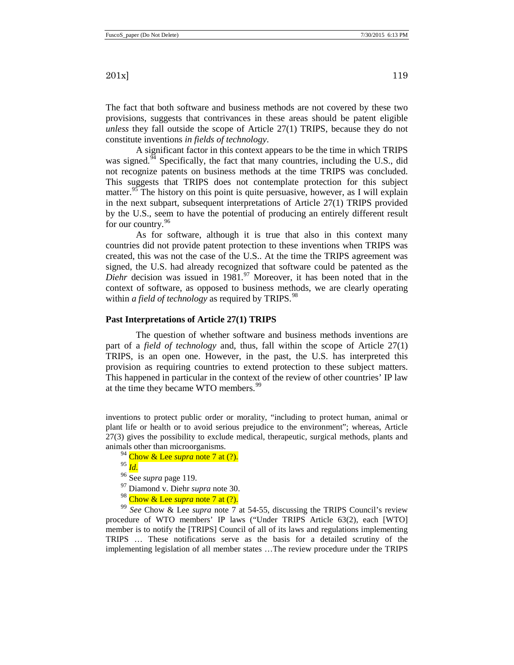The fact that both software and business methods are not covered by these two provisions, suggests that contrivances in these areas should be patent eligible *unless* they fall outside the scope of Article 27(1) TRIPS, because they do not constitute inventions *in fields of technology*.

A significant factor in this context appears to be the time in which TRIPS was signed.<sup>[94](#page-18-1)</sup> Specifically, the fact that many countries, including the U.S., did not recognize patents on business methods at the time TRIPS was concluded. This suggests that TRIPS does not contemplate protection for this subject matter.<sup>[95](#page-18-2)</sup> The history on this point is quite persuasive, however, as I will explain in the next subpart, subsequent interpretations of Article 27(1) TRIPS provided by the U.S., seem to have the potential of producing an entirely different result for our country.<sup>[96](#page-18-3)</sup>

As for software, although it is true that also in this context many countries did not provide patent protection to these inventions when TRIPS was created, this was not the case of the U.S.. At the time the TRIPS agreement was signed, the U.S. had already recognized that software could be patented as the *Diehr* decision was issued in 1981. [97](#page-18-4) Moreover, it has been noted that in the context of software, as opposed to business methods, we are clearly operating within *a field of technology* as required by TRIPS. [98](#page-18-5)

#### <span id="page-18-0"></span>**Past Interpretations of Article 27(1) TRIPS**

The question of whether software and business methods inventions are part of a *field of technology* and, thus, fall within the scope of Article 27(1) TRIPS, is an open one. However, in the past, the U.S. has interpreted this provision as requiring countries to extend protection to these subject matters. This happened in particular in the context of the review of other countries' IP law at the time they became WTO members.<sup>[99](#page-18-6)</sup>

inventions to protect public order or morality, "including to protect human, animal or plant life or health or to avoid serious prejudice to the environment"; whereas, Article 27(3) gives the possibility to exclude medical, therapeutic, surgical methods, plants and animals other than microorganisms.

<sup>94</sup> Chow & Lee *supra* note [7](#page-4-0) at (?). <sup>95</sup> *Id.*<br><sup>96</sup> See *supra* page 119.

- 
- 
- 

<span id="page-18-6"></span><span id="page-18-5"></span><span id="page-18-4"></span><span id="page-18-3"></span><span id="page-18-2"></span><span id="page-18-1"></span><sup>97</sup> Diamond v. Diehr *supra* note [30.](#page-8-2)<br><sup>98</sup> Chow & Lee *supra* note [7](#page-4-0) at (?).<br><sup>99</sup> *See* Chow & Lee *supra* note 7 at 54-55, discussing the TRIPS Council's review procedure of WTO members' IP laws ("Under TRIPS Article 63(2), each [WTO] member is to notify the [TRIPS] Council of all of its laws and regulations implementing TRIPS … These notifications serve as the basis for a detailed scrutiny of the implementing legislation of all member states …The review procedure under the TRIPS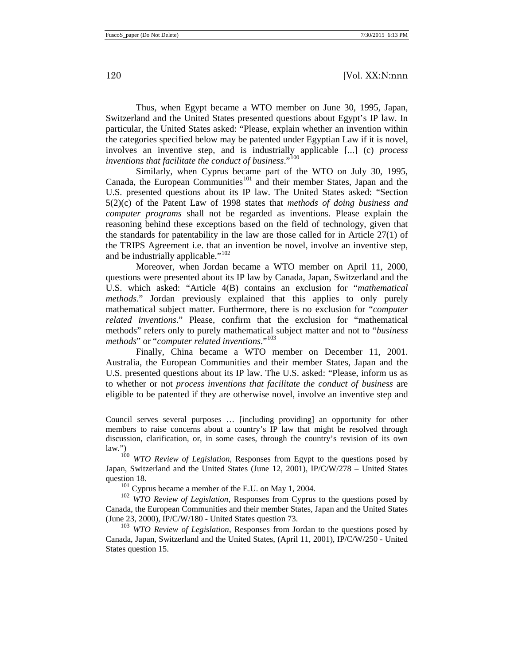Thus, when Egypt became a WTO member on June 30, 1995, Japan, Switzerland and the United States presented questions about Egypt's IP law. In particular, the United States asked: "Please, explain whether an invention within the categories specified below may be patented under Egyptian Law if it is novel, involves an inventive step, and is industrially applicable [...] (c) *process inventions that facilitate the conduct of business*."[100](#page-19-0)

Similarly, when Cyprus became part of the WTO on July 30, 1995, Canada, the European Communities<sup>[101](#page-19-1)</sup> and their member States, Japan and the U.S. presented questions about its IP law. The United States asked: "Section 5(2)(c) of the Patent Law of 1998 states that *methods of doing business and computer programs* shall not be regarded as inventions. Please explain the reasoning behind these exceptions based on the field of technology, given that the standards for patentability in the law are those called for in Article 27(1) of the TRIPS Agreement i.e. that an invention be novel, involve an inventive step, and be industrially applicable."<sup>[102](#page-19-2)</sup>

<span id="page-19-4"></span>Moreover, when Jordan became a WTO member on April 11, 2000, questions were presented about its IP law by Canada, Japan, Switzerland and the U.S. which asked: "Article 4(B) contains an exclusion for "*mathematical methods*." Jordan previously explained that this applies to only purely mathematical subject matter. Furthermore, there is no exclusion for "*computer related inventions*." Please, confirm that the exclusion for "mathematical methods" refers only to purely mathematical subject matter and not to "*business methods*" or "*computer related inventions*."[103](#page-19-3)

Finally, China became a WTO member on December 11, 2001. Australia, the European Communities and their member States, Japan and the U.S. presented questions about its IP law. The U.S. asked: "Please, inform us as to whether or not *process inventions that facilitate the conduct of business* are eligible to be patented if they are otherwise novel, involve an inventive step and

Council serves several purposes … [including providing] an opportunity for other members to raise concerns about a country's IP law that might be resolved through discussion, clarification, or, in some cases, through the country's revision of its own law.")

<span id="page-19-0"></span><sup>100</sup> *WTO Review of Legislation*, Responses from Egypt to the questions posed by Japan, Switzerland and the United States (June 12, 2001), IP/C/W/278 – United States

<span id="page-19-2"></span><span id="page-19-1"></span>question 18.<br><sup>101</sup> Cyprus became a member of the E.U. on May 1, 2004.<br><sup>102</sup> *WTO Review of Legislation*, Responses from Cyprus to the questions posed by Canada, the European Communities and their member States, Japan and the United States (June 23, 2000), IP/C/W/180 - United States question 73.

<span id="page-19-3"></span><sup>103</sup> *WTO Review of Legislation*, Responses from Jordan to the questions posed by Canada, Japan, Switzerland and the United States, (April 11, 2001), IP/C/W/250 - United States question 15.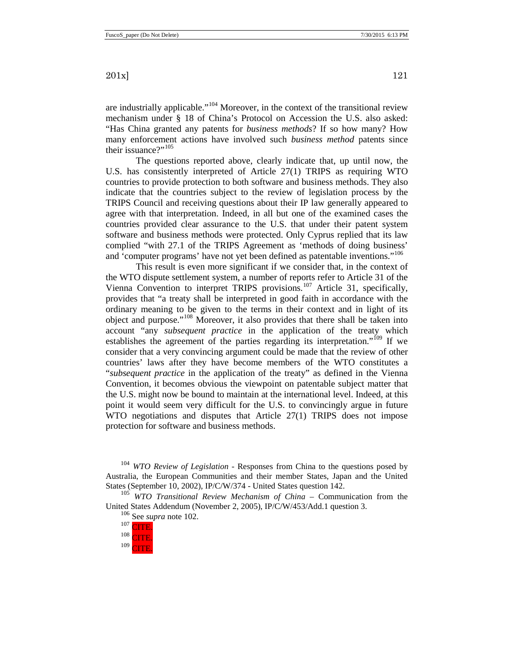are industrially applicable."[104](#page-20-0) Moreover, in the context of the transitional review mechanism under § 18 of China's Protocol on Accession the U.S. also asked: "Has China granted any patents for *business methods*? If so how many? How many enforcement actions have involved such *business method* patents since their issuance?"<sup>[105](#page-20-1)</sup>

The questions reported above, clearly indicate that, up until now, the U.S. has consistently interpreted of Article 27(1) TRIPS as requiring WTO countries to provide protection to both software and business methods. They also indicate that the countries subject to the review of legislation process by the TRIPS Council and receiving questions about their IP law generally appeared to agree with that interpretation. Indeed, in all but one of the examined cases the countries provided clear assurance to the U.S. that under their patent system software and business methods were protected. Only Cyprus replied that its law complied "with 27.1 of the TRIPS Agreement as 'methods of doing business' and 'computer programs' have not yet been defined as patentable inventions."<sup>[106](#page-20-2)</sup>

This result is even more significant if we consider that, in the context of the WTO dispute settlement system, a number of reports refer to Article 31 of the Vienna Convention to interpret TRIPS provisions.<sup>[107](#page-20-3)</sup> Article 31, specifically, provides that "a treaty shall be interpreted in good faith in accordance with the ordinary meaning to be given to the terms in their context and in light of its object and purpose."[108](#page-20-4) Moreover, it also provides that there shall be taken into account "any *subsequent practice* in the application of the treaty which establishes the agreement of the parties regarding its interpretation."<sup>[109](#page-20-5)</sup> If we consider that a very convincing argument could be made that the review of other countries' laws after they have become members of the WTO constitutes a "*subsequent practice* in the application of the treaty" as defined in the Vienna Convention, it becomes obvious the viewpoint on patentable subject matter that the U.S. might now be bound to maintain at the international level. Indeed, at this point it would seem very difficult for the U.S. to convincingly argue in future WTO negotiations and disputes that Article 27(1) TRIPS does not impose protection for software and business methods.

<span id="page-20-0"></span><sup>104</sup> *WTO Review of Legislation* - Responses from China to the questions posed by Australia, the European Communities and their member States, Japan and the United States (September 10, 2002), IP/C/W/374 - United States question 142.

<span id="page-20-5"></span><span id="page-20-4"></span><span id="page-20-3"></span><span id="page-20-2"></span><span id="page-20-1"></span><sup>105</sup> *WTO Transitional Review Mechanism of China* – Communication from the United States Addendum (November 2, 2005), IP/C/W/453/Add.1 question 3.<br><sup>106</sup> See *supra* note [102.](#page-19-4)<br><sup>107</sup> CITE.<br><sup>108</sup> CUTE.



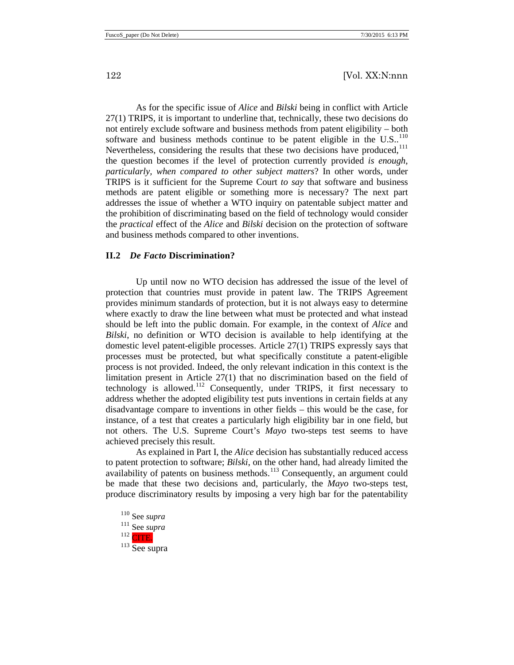As for the specific issue of *Alice* and *Bilski* being in conflict with Article 27(1) TRIPS, it is important to underline that, technically, these two decisions do not entirely exclude software and business methods from patent eligibility – both software and business methods continue to be patent eligible in the U.S..<sup>[110](#page-21-1)</sup> Nevertheless, considering the results that these two decisions have produced,<sup>[111](#page-21-2)</sup> the question becomes if the level of protection currently provided *is enough, particularly, when compared to other subject matters*? In other words, under TRIPS is it sufficient for the Supreme Court *to say* that software and business methods are patent eligible or something more is necessary? The next part addresses the issue of whether a WTO inquiry on patentable subject matter and the prohibition of discriminating based on the field of technology would consider the *practical* effect of the *Alice* and *Bilski* decision on the protection of software and business methods compared to other inventions.

#### <span id="page-21-0"></span>**II.2** *De Facto* **Discrimination?**

Up until now no WTO decision has addressed the issue of the level of protection that countries must provide in patent law. The TRIPS Agreement provides minimum standards of protection, but it is not always easy to determine where exactly to draw the line between what must be protected and what instead should be left into the public domain. For example, in the context of *Alice* and *Bilski*, no definition or WTO decision is available to help identifying at the domestic level patent-eligible processes. Article 27(1) TRIPS expressly says that processes must be protected, but what specifically constitute a patent-eligible process is not provided. Indeed, the only relevant indication in this context is the limitation present in Article 27(1) that no discrimination based on the field of technology is allowed.<sup>[112](#page-21-3)</sup> Consequently, under TRIPS, it first necessary to address whether the adopted eligibility test puts inventions in certain fields at any disadvantage compare to inventions in other fields – this would be the case, for instance, of a test that creates a particularly high eligibility bar in one field, but not others. The U.S. Supreme Court's *Mayo* two-steps test seems to have achieved precisely this result.

As explained in Part I, the *Alice* decision has substantially reduced access to patent protection to software; *Bilski*, on the other hand, had already limited the availability of patents on business methods.<sup>[113](#page-21-4)</sup> Consequently, an argument could be made that these two decisions and, particularly, the *Mayo* two-steps test, produce discriminatory results by imposing a very high bar for the patentability

<span id="page-21-4"></span><span id="page-21-3"></span><span id="page-21-2"></span><span id="page-21-1"></span><sup>110</sup> See *supra*  $\frac{111}{112}$  See *supra* CITE. <sup>113</sup> See supra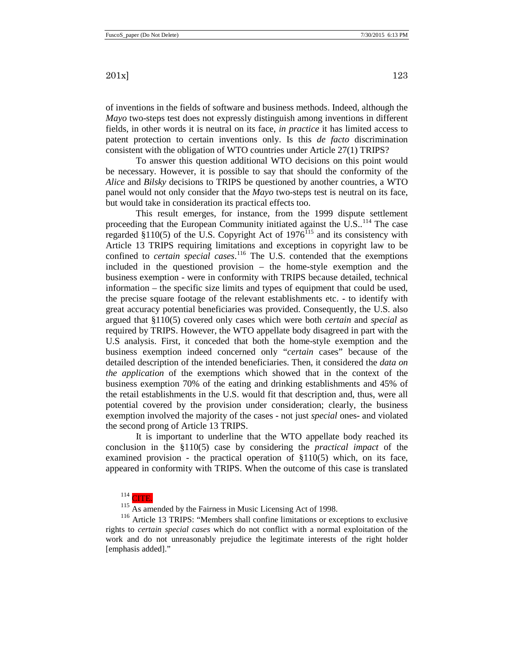of inventions in the fields of software and business methods. Indeed, although the *Mayo* two-steps test does not expressly distinguish among inventions in different fields, in other words it is neutral on its face, *in practice* it has limited access to patent protection to certain inventions only. Is this *de facto* discrimination consistent with the obligation of WTO countries under Article 27(1) TRIPS?

To answer this question additional WTO decisions on this point would be necessary. However, it is possible to say that should the conformity of the *Alice* and *Bilsky* decisions to TRIPS be questioned by another countries, a WTO panel would not only consider that the *Mayo* two-steps test is neutral on its face, but would take in consideration its practical effects too.

This result emerges, for instance, from the 1999 dispute settlement proceeding that the European Community initiated against the U.S..<sup>[114](#page-22-0)</sup> The case regarded  $\S 110(5)$  of the U.S. Copyright Act of 1976<sup>[115](#page-22-1)</sup> and its consistency with Article 13 TRIPS requiring limitations and exceptions in copyright law to be confined to *certain special cases*.<sup>[116](#page-22-2)</sup> The U.S. contended that the exemptions included in the questioned provision – the home-style exemption and the business exemption - were in conformity with TRIPS because detailed, technical information – the specific size limits and types of equipment that could be used, the precise square footage of the relevant establishments etc. - to identify with great accuracy potential beneficiaries was provided. Consequently, the U.S. also argued that §110(5) covered only cases which were both *certain* and *special* as required by TRIPS. However, the WTO appellate body disagreed in part with the U.S analysis. First, it conceded that both the home-style exemption and the business exemption indeed concerned only "*certain* cases" because of the detailed description of the intended beneficiaries. Then, it considered the *data on the application* of the exemptions which showed that in the context of the business exemption 70% of the eating and drinking establishments and 45% of the retail establishments in the U.S. would fit that description and, thus, were all potential covered by the provision under consideration; clearly, the business exemption involved the majority of the cases - not just *special* ones- and violated the second prong of Article 13 TRIPS.

It is important to underline that the WTO appellate body reached its conclusion in the §110(5) case by considering the *practical impact* of the examined provision - the practical operation of  $\S110(5)$  which, on its face, appeared in conformity with TRIPS. When the outcome of this case is translated

 $114$  CITE.

 $115$  As amended by the Fairness in Music Licensing Act of 1998.

<span id="page-22-2"></span><span id="page-22-1"></span><span id="page-22-0"></span><sup>116</sup> Article 13 TRIPS: "Members shall confine limitations or exceptions to exclusive rights to *certain special cases* which do not conflict with a normal exploitation of the work and do not unreasonably prejudice the legitimate interests of the right holder [emphasis added]."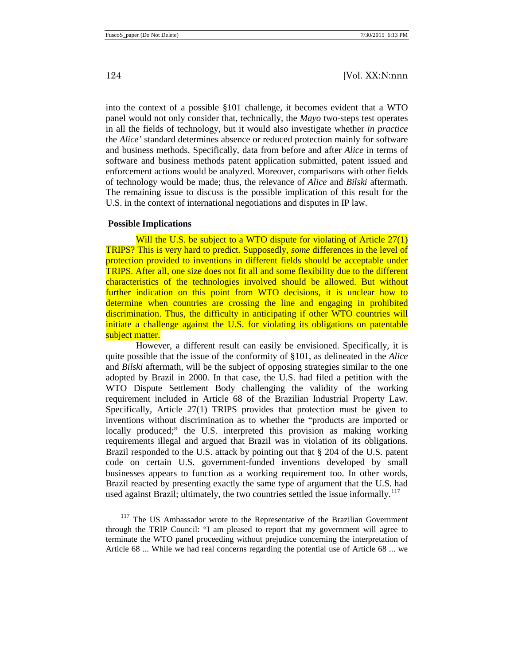into the context of a possible §101 challenge, it becomes evident that a WTO panel would not only consider that, technically, the *Mayo* two-steps test operates in all the fields of technology, but it would also investigate whether *in practice* the *Alice'* standard determines absence or reduced protection mainly for software and business methods. Specifically, data from before and after *Alice* in terms of software and business methods patent application submitted, patent issued and enforcement actions would be analyzed. Moreover, comparisons with other fields of technology would be made; thus, the relevance of *Alice* and *Bilski* aftermath. The remaining issue to discuss is the possible implication of this result for the U.S. in the context of international negotiations and disputes in IP law.

#### <span id="page-23-0"></span>**Possible Implications**

Will the U.S. be subject to a WTO dispute for violating of Article 27(1) TRIPS? This is very hard to predict. Supposedly, *some* differences in the level of protection provided to inventions in different fields should be acceptable under TRIPS. After all, one size does not fit all and some flexibility due to the different characteristics of the technologies involved should be allowed. But without further indication on this point from WTO decisions, it is unclear how to determine when countries are crossing the line and engaging in prohibited discrimination. Thus, the difficulty in anticipating if other WTO countries will initiate a challenge against the U.S. for violating its obligations on patentable subject matter.

However, a different result can easily be envisioned. Specifically, it is quite possible that the issue of the conformity of §101, as delineated in the *Alice* and *Bilski* aftermath, will be the subject of opposing strategies similar to the one adopted by Brazil in 2000. In that case, the U.S. had filed a petition with the WTO Dispute Settlement Body challenging the validity of the working requirement included in Article 68 of the Brazilian Industrial Property Law. Specifically, Article 27(1) TRIPS provides that protection must be given to inventions without discrimination as to whether the "products are imported or locally produced;" the U.S. interpreted this provision as making working requirements illegal and argued that Brazil was in violation of its obligations. Brazil responded to the U.S. attack by pointing out that § 204 of the U.S. patent code on certain U.S. government-funded inventions developed by small businesses appears to function as a working requirement too. In other words, Brazil reacted by presenting exactly the same type of argument that the U.S. had used against Brazil; ultimately, the two countries settled the issue informally.<sup>[117](#page-23-1)</sup>

<span id="page-23-1"></span><sup>117</sup> The US Ambassador wrote to the Representative of the Brazilian Government through the TRIP Council: "I am pleased to report that my government will agree to terminate the WTO panel proceeding without prejudice concerning the interpretation of Article 68 ... While we had real concerns regarding the potential use of Article 68 ... we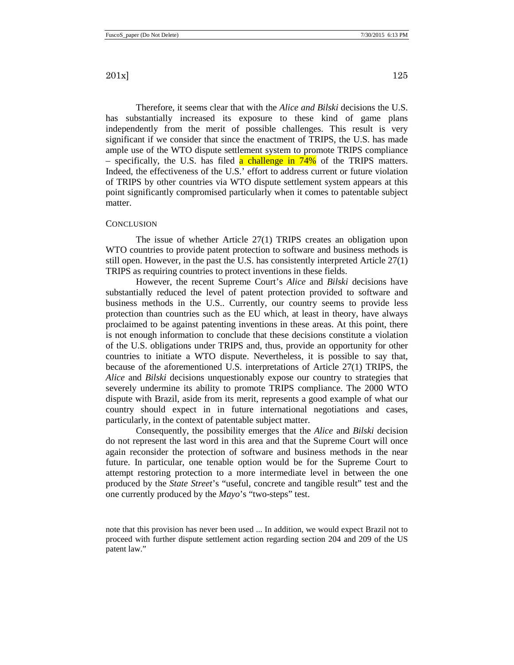Therefore, it seems clear that with the *Alice and Bilski* decisions the U.S. has substantially increased its exposure to these kind of game plans independently from the merit of possible challenges. This result is very significant if we consider that since the enactment of TRIPS, the U.S. has made ample use of the WTO dispute settlement system to promote TRIPS compliance – specifically, the U.S. has filed a challenge in  $74\%$  of the TRIPS matters. Indeed, the effectiveness of the U.S.' effort to address current or future violation of TRIPS by other countries via WTO dispute settlement system appears at this point significantly compromised particularly when it comes to patentable subject matter.

#### <span id="page-24-0"></span>**CONCLUSION**

The issue of whether Article 27(1) TRIPS creates an obligation upon WTO countries to provide patent protection to software and business methods is still open. However, in the past the U.S. has consistently interpreted Article 27(1) TRIPS as requiring countries to protect inventions in these fields.

However, the recent Supreme Court's *Alice* and *Bilski* decisions have substantially reduced the level of patent protection provided to software and business methods in the U.S.. Currently, our country seems to provide less protection than countries such as the EU which, at least in theory, have always proclaimed to be against patenting inventions in these areas. At this point, there is not enough information to conclude that these decisions constitute a violation of the U.S. obligations under TRIPS and, thus, provide an opportunity for other countries to initiate a WTO dispute. Nevertheless, it is possible to say that, because of the aforementioned U.S. interpretations of Article 27(1) TRIPS, the *Alice* and *Bilski* decisions unquestionably expose our country to strategies that severely undermine its ability to promote TRIPS compliance. The 2000 WTO dispute with Brazil, aside from its merit, represents a good example of what our country should expect in in future international negotiations and cases, particularly, in the context of patentable subject matter.

Consequently, the possibility emerges that the *Alice* and *Bilski* decision do not represent the last word in this area and that the Supreme Court will once again reconsider the protection of software and business methods in the near future. In particular, one tenable option would be for the Supreme Court to attempt restoring protection to a more intermediate level in between the one produced by the *State Street*'s "useful, concrete and tangible result" test and the one currently produced by the *Mayo*'s "two-steps" test.

note that this provision has never been used ... In addition, we would expect Brazil not to proceed with further dispute settlement action regarding section 204 and 209 of the US patent law."